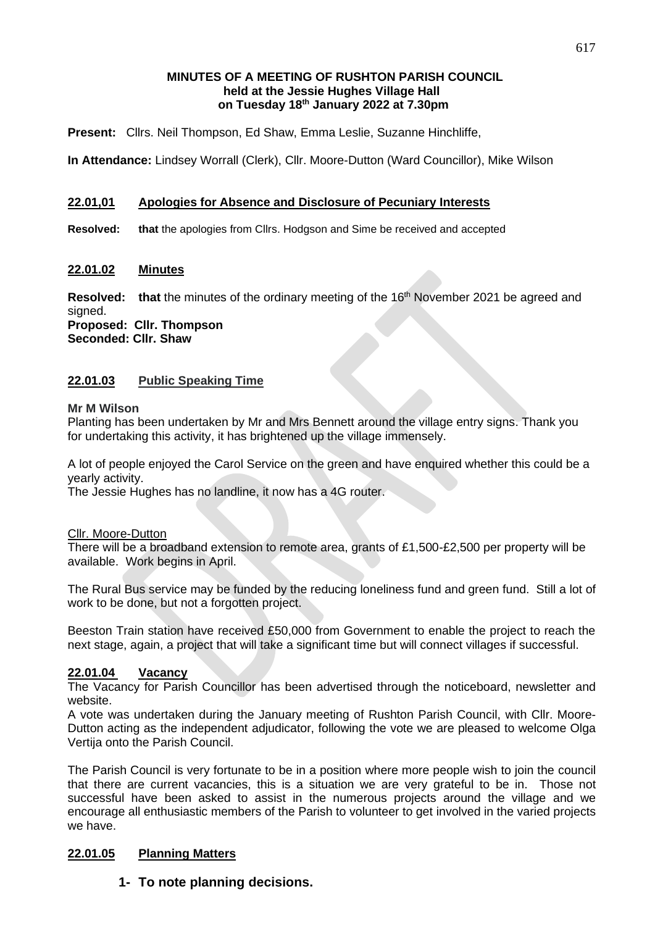### **MINUTES OF A MEETING OF RUSHTON PARISH COUNCIL held at the Jessie Hughes Village Hall on Tuesday 18 th January 2022 at 7.30pm**

**Present:** Cllrs. Neil Thompson, Ed Shaw, Emma Leslie, Suzanne Hinchliffe,

**In Attendance:** Lindsey Worrall (Clerk), Cllr. Moore-Dutton (Ward Councillor), Mike Wilson

### **22.01,01 Apologies for Absence and Disclosure of Pecuniary Interests**

**Resolved: that** the apologies from Cllrs. Hodgson and Sime be received and accepted

#### **22.01.02 Minutes**

**Resolved:** that the minutes of the ordinary meeting of the 16<sup>th</sup> November 2021 be agreed and signed.

**Proposed: Cllr. Thompson Seconded: Cllr. Shaw**

#### **22.01.03 Public Speaking Time**

#### **Mr M Wilson**

Planting has been undertaken by Mr and Mrs Bennett around the village entry signs. Thank you for undertaking this activity, it has brightened up the village immensely.

A lot of people enjoyed the Carol Service on the green and have enquired whether this could be a yearly activity.

The Jessie Hughes has no landline, it now has a 4G router.

#### Cllr. Moore-Dutton

There will be a broadband extension to remote area, grants of £1,500-£2,500 per property will be available. Work begins in April.

The Rural Bus service may be funded by the reducing loneliness fund and green fund. Still a lot of work to be done, but not a forgotten project.

Beeston Train station have received £50,000 from Government to enable the project to reach the next stage, again, a project that will take a significant time but will connect villages if successful.

#### **22.01.04 Vacancy**

The Vacancy for Parish Councillor has been advertised through the noticeboard, newsletter and website.

A vote was undertaken during the January meeting of Rushton Parish Council, with Cllr. Moore-Dutton acting as the independent adjudicator, following the vote we are pleased to welcome Olga Vertija onto the Parish Council.

The Parish Council is very fortunate to be in a position where more people wish to join the council that there are current vacancies, this is a situation we are very grateful to be in. Those not successful have been asked to assist in the numerous projects around the village and we encourage all enthusiastic members of the Parish to volunteer to get involved in the varied projects we have.

#### **22.01.05 Planning Matters**

#### **1- To note planning decisions.**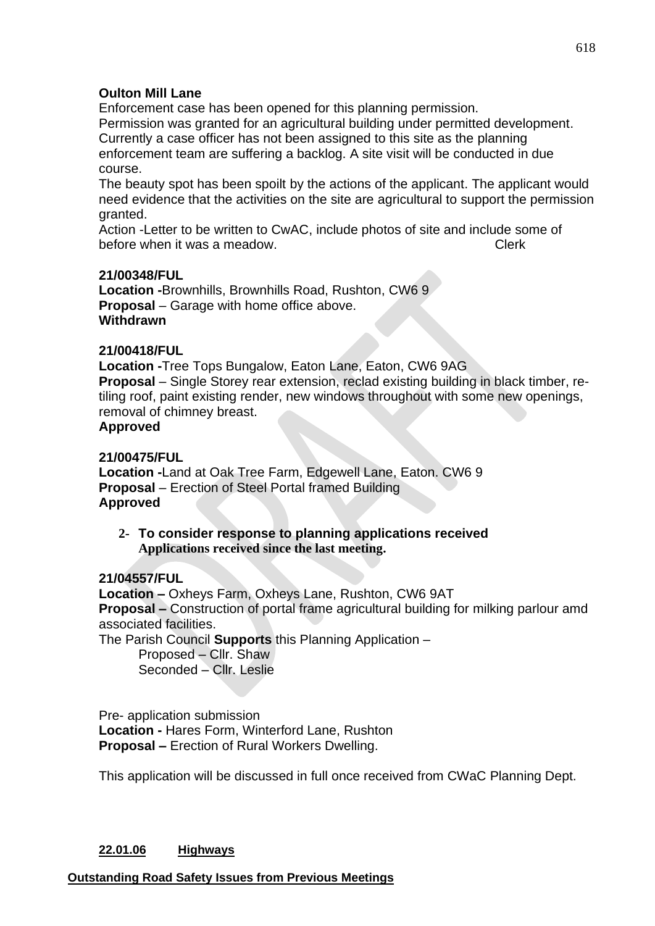# **Oulton Mill Lane**

Enforcement case has been opened for this planning permission. Permission was granted for an agricultural building under permitted development. Currently a case officer has not been assigned to this site as the planning enforcement team are suffering a backlog. A site visit will be conducted in due course.

The beauty spot has been spoilt by the actions of the applicant. The applicant would need evidence that the activities on the site are agricultural to support the permission granted.

Action -Letter to be written to CwAC, include photos of site and include some of before when it was a meadow. Clerk

# **21/00348/FUL**

**Location -**Brownhills, Brownhills Road, Rushton, CW6 9 **Proposal** – Garage with home office above. **Withdrawn**

### **21/00418/FUL**

**Location -**Tree Tops Bungalow, Eaton Lane, Eaton, CW6 9AG **Proposal** – Single Storey rear extension, reclad existing building in black timber, retiling roof, paint existing render, new windows throughout with some new openings, removal of chimney breast.

# **Approved**

# **21/00475/FUL**

**Location -**Land at Oak Tree Farm, Edgewell Lane, Eaton. CW6 9 **Proposal** – Erection of Steel Portal framed Building **Approved**

**2- To consider response to planning applications received Applications received since the last meeting.**

#### **21/04557/FUL**

**Location –** Oxheys Farm, Oxheys Lane, Rushton, CW6 9AT **Proposal –** Construction of portal frame agricultural building for milking parlour amd associated facilities.

The Parish Council **Supports** this Planning Application –

Proposed – Cllr. Shaw Seconded – Cllr. Leslie

Pre- application submission **Location -** Hares Form, Winterford Lane, Rushton **Proposal –** Erection of Rural Workers Dwelling.

This application will be discussed in full once received from CWaC Planning Dept.

# **22.01.06 Highways**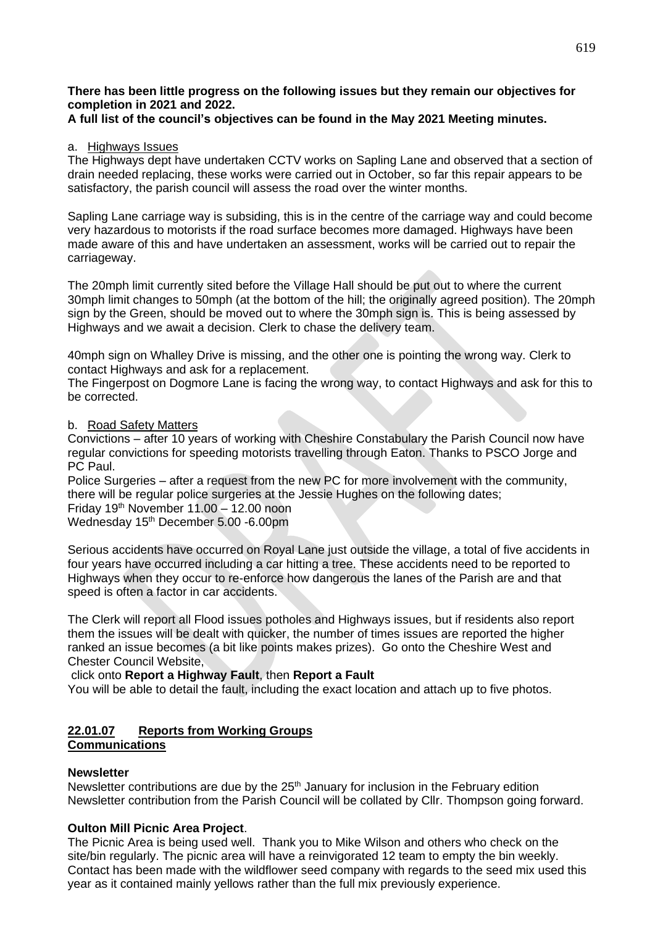#### **There has been little progress on the following issues but they remain our objectives for completion in 2021 and 2022.**

### **A full list of the council's objectives can be found in the May 2021 Meeting minutes.**

#### a. Highways Issues

The Highways dept have undertaken CCTV works on Sapling Lane and observed that a section of drain needed replacing, these works were carried out in October, so far this repair appears to be satisfactory, the parish council will assess the road over the winter months.

Sapling Lane carriage way is subsiding, this is in the centre of the carriage way and could become very hazardous to motorists if the road surface becomes more damaged. Highways have been made aware of this and have undertaken an assessment, works will be carried out to repair the carriageway.

The 20mph limit currently sited before the Village Hall should be put out to where the current 30mph limit changes to 50mph (at the bottom of the hill; the originally agreed position). The 20mph sign by the Green, should be moved out to where the 30mph sign is. This is being assessed by Highways and we await a decision. Clerk to chase the delivery team.

40mph sign on Whalley Drive is missing, and the other one is pointing the wrong way. Clerk to contact Highways and ask for a replacement.

The Fingerpost on Dogmore Lane is facing the wrong way, to contact Highways and ask for this to be corrected.

#### b. Road Safety Matters

Convictions – after 10 years of working with Cheshire Constabulary the Parish Council now have regular convictions for speeding motorists travelling through Eaton. Thanks to PSCO Jorge and PC Paul.

Police Surgeries – after a request from the new PC for more involvement with the community, there will be regular police surgeries at the Jessie Hughes on the following dates;

Friday 19th November 11.00 – 12.00 noon Wednesday 15<sup>th</sup> December 5.00 -6.00pm

Serious accidents have occurred on Royal Lane just outside the village, a total of five accidents in four years have occurred including a car hitting a tree. These accidents need to be reported to Highways when they occur to re-enforce how dangerous the lanes of the Parish are and that speed is often a factor in car accidents.

The Clerk will report all Flood issues potholes and Highways issues, but if residents also report them the issues will be dealt with quicker, the number of times issues are reported the higher ranked an issue becomes (a bit like points makes prizes). Go onto the Cheshire West and Chester Council Website,

#### click onto **Report a Highway Fault**, then **Report a Fault**

You will be able to detail the fault, including the exact location and attach up to five photos.

#### **22.01.07 Reports from Working Groups Communications**

#### **Newsletter**

Newsletter contributions are due by the  $25<sup>th</sup>$  January for inclusion in the February edition Newsletter contribution from the Parish Council will be collated by Cllr. Thompson going forward.

#### **Oulton Mill Picnic Area Project**.

The Picnic Area is being used well. Thank you to Mike Wilson and others who check on the site/bin regularly. The picnic area will have a reinvigorated 12 team to empty the bin weekly. Contact has been made with the wildflower seed company with regards to the seed mix used this year as it contained mainly yellows rather than the full mix previously experience.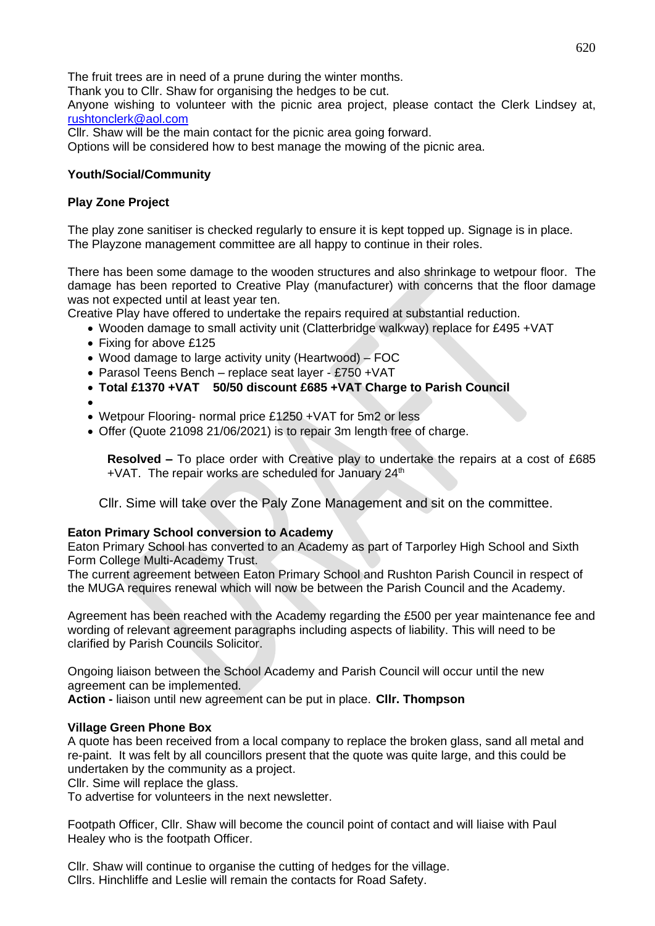The fruit trees are in need of a prune during the winter months.

Thank you to Cllr. Shaw for organising the hedges to be cut.

Anyone wishing to volunteer with the picnic area project, please contact the Clerk Lindsey at, [rushtonclerk@aol.com](mailto:rushtonclerk@aol.com)

Cllr. Shaw will be the main contact for the picnic area going forward.

Options will be considered how to best manage the mowing of the picnic area.

### **Youth/Social/Community**

### **Play Zone Project**

The play zone sanitiser is checked regularly to ensure it is kept topped up. Signage is in place. The Playzone management committee are all happy to continue in their roles.

There has been some damage to the wooden structures and also shrinkage to wetpour floor. The damage has been reported to Creative Play (manufacturer) with concerns that the floor damage was not expected until at least year ten.

Creative Play have offered to undertake the repairs required at substantial reduction.

- Wooden damage to small activity unit (Clatterbridge walkway) replace for £495 +VAT
- Fixing for above £125
- Wood damage to large activity unity (Heartwood) FOC
- Parasol Teens Bench replace seat layer £750 +VAT
- **Total £1370 +VAT 50/50 discount £685 +VAT Charge to Parish Council**
- •
- Wetpour Flooring- normal price £1250 +VAT for 5m2 or less
- Offer (Quote 21098 21/06/2021) is to repair 3m length free of charge.

**Resolved –** To place order with Creative play to undertake the repairs at a cost of £685 +VAT. The repair works are scheduled for January 24<sup>th</sup>

Cllr. Sime will take over the Paly Zone Management and sit on the committee.

#### **Eaton Primary School conversion to Academy**

Eaton Primary School has converted to an Academy as part of Tarporley High School and Sixth Form College Multi-Academy Trust.

The current agreement between Eaton Primary School and Rushton Parish Council in respect of the MUGA requires renewal which will now be between the Parish Council and the Academy.

Agreement has been reached with the Academy regarding the £500 per year maintenance fee and wording of relevant agreement paragraphs including aspects of liability. This will need to be clarified by Parish Councils Solicitor.

Ongoing liaison between the School Academy and Parish Council will occur until the new agreement can be implemented.

**Action -** liaison until new agreement can be put in place. **Cllr. Thompson**

# **Village Green Phone Box**

A quote has been received from a local company to replace the broken glass, sand all metal and re-paint. It was felt by all councillors present that the quote was quite large, and this could be undertaken by the community as a project.

Cllr. Sime will replace the glass.

To advertise for volunteers in the next newsletter.

Footpath Officer, Cllr. Shaw will become the council point of contact and will liaise with Paul Healey who is the footpath Officer.

Cllr. Shaw will continue to organise the cutting of hedges for the village. Cllrs. Hinchliffe and Leslie will remain the contacts for Road Safety.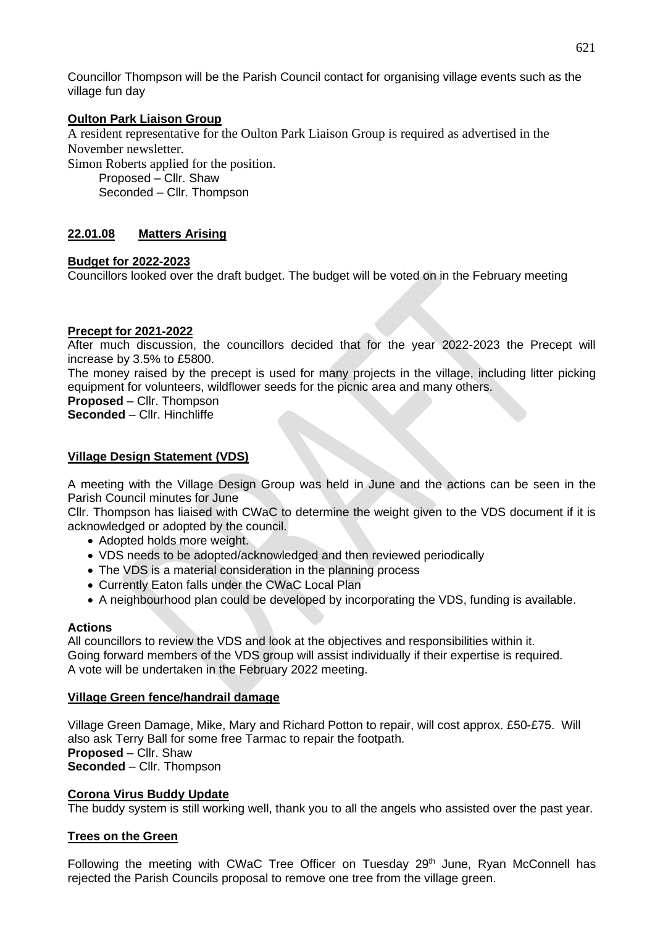Councillor Thompson will be the Parish Council contact for organising village events such as the village fun day

#### **Oulton Park Liaison Group**

A resident representative for the Oulton Park Liaison Group is required as advertised in the November newsletter.

Simon Roberts applied for the position.

Proposed – Cllr. Shaw

Seconded – Cllr. Thompson

# **22.01.08 Matters Arising**

### **Budget for 2022-2023**

Councillors looked over the draft budget. The budget will be voted on in the February meeting

### **Precept for 2021-2022**

After much discussion, the councillors decided that for the year 2022-2023 the Precept will increase by 3.5% to £5800.

The money raised by the precept is used for many projects in the village, including litter picking equipment for volunteers, wildflower seeds for the picnic area and many others.

**Proposed** – Cllr. Thompson

**Seconded** – Cllr. Hinchliffe

### **Village Design Statement (VDS)**

A meeting with the Village Design Group was held in June and the actions can be seen in the Parish Council minutes for June

Cllr. Thompson has liaised with CWaC to determine the weight given to the VDS document if it is acknowledged or adopted by the council.

- Adopted holds more weight.
- VDS needs to be adopted/acknowledged and then reviewed periodically
- The VDS is a material consideration in the planning process
- Currently Eaton falls under the CWaC Local Plan
- A neighbourhood plan could be developed by incorporating the VDS, funding is available.

#### **Actions**

All councillors to review the VDS and look at the objectives and responsibilities within it. Going forward members of the VDS group will assist individually if their expertise is required. A vote will be undertaken in the February 2022 meeting.

#### **Village Green fence/handrail damage**

Village Green Damage, Mike, Mary and Richard Potton to repair, will cost approx. £50-£75. Will also ask Terry Ball for some free Tarmac to repair the footpath. **Proposed** – Cllr. Shaw **Seconded** – Cllr. Thompson

#### **Corona Virus Buddy Update**

The buddy system is still working well, thank you to all the angels who assisted over the past year.

# **Trees on the Green**

Following the meeting with CWaC Tree Officer on Tuesday  $29<sup>th</sup>$  June, Ryan McConnell has rejected the Parish Councils proposal to remove one tree from the village green.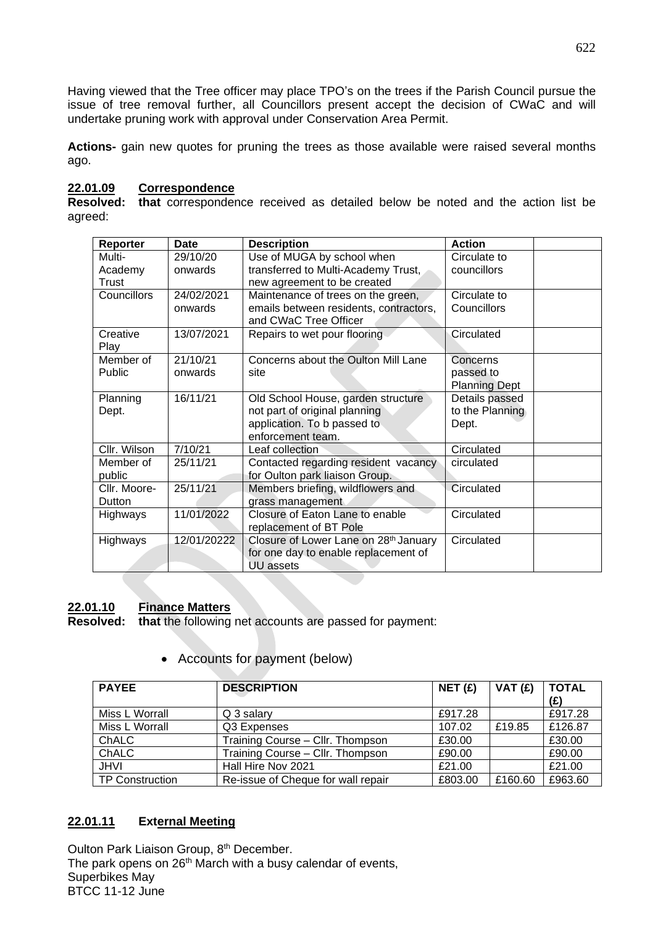Having viewed that the Tree officer may place TPO's on the trees if the Parish Council pursue the issue of tree removal further, all Councillors present accept the decision of CWaC and will undertake pruning work with approval under Conservation Area Permit.

**Actions-** gain new quotes for pruning the trees as those available were raised several months ago.

# **22.01.09 Correspondence**

**Resolved: that** correspondence received as detailed below be noted and the action list be agreed:

| Reporter           | <b>Date</b> | <b>Description</b>                     | <b>Action</b>        |
|--------------------|-------------|----------------------------------------|----------------------|
| Multi-             | 29/10/20    | Use of MUGA by school when             | Circulate to         |
| Academy            | onwards     | transferred to Multi-Academy Trust,    | councillors          |
| Trust              |             | new agreement to be created            |                      |
| <b>Councillors</b> | 24/02/2021  | Maintenance of trees on the green,     | Circulate to         |
|                    | onwards     | emails between residents, contractors, | Councillors          |
|                    |             | and CWaC Tree Officer                  |                      |
| Creative           | 13/07/2021  | Repairs to wet pour flooring           | Circulated           |
| Play               |             |                                        |                      |
| Member of          | 21/10/21    | Concerns about the Oulton Mill Lane    | Concerns             |
| Public             | onwards     | site                                   | passed to            |
|                    |             |                                        | <b>Planning Dept</b> |
| Planning           | 16/11/21    | Old School House, garden structure     | Details passed       |
| Dept.              |             | not part of original planning          | to the Planning      |
|                    |             | application. To b passed to            | Dept.                |
|                    |             | enforcement team.                      |                      |
| Cllr. Wilson       | 7/10/21     | Leaf collection                        | Circulated           |
| Member of          | 25/11/21    | Contacted regarding resident vacancy   | circulated           |
| public             |             | for Oulton park liaison Group.         |                      |
| Cllr. Moore-       | 25/11/21    | Members briefing, wildflowers and      | Circulated           |
| Dutton             |             | grass management                       |                      |
| Highways           | 11/01/2022  | Closure of Eaton Lane to enable        | Circulated           |
|                    |             | replacement of BT Pole                 |                      |
| Highways           | 12/01/20222 | Closure of Lower Lane on 28th January  | Circulated           |
|                    |             | for one day to enable replacement of   |                      |
|                    |             | <b>UU</b> assets                       |                      |

# **22.01.10 Finance Matters**

**Resolved: that** the following net accounts are passed for payment:

| <b>PAYEE</b>           | <b>DESCRIPTION</b>                 | NET(f)  | VAT(E)  | <b>TOTAL</b> |
|------------------------|------------------------------------|---------|---------|--------------|
|                        |                                    |         |         | (E)          |
| Miss L Worrall         | Q 3 salary                         | £917.28 |         | £917.28      |
| Miss L Worrall         | Q3 Expenses                        | 107.02  | £19.85  | £126.87      |
| <b>ChALC</b>           | Training Course - Cllr. Thompson   | £30.00  |         | £30.00       |
| ChALC                  | Training Course - Cllr. Thompson   | £90.00  |         | £90.00       |
| <b>JHVI</b>            | Hall Hire Nov 2021                 | £21.00  |         | £21.00       |
| <b>TP Construction</b> | Re-issue of Cheque for wall repair | £803.00 | £160.60 | £963.60      |

• Accounts for payment (below)

# **22.01.11 External Meeting**

Oulton Park Liaison Group, 8<sup>th</sup> December. The park opens on 26<sup>th</sup> March with a busy calendar of events, Superbikes May BTCC 11-12 June